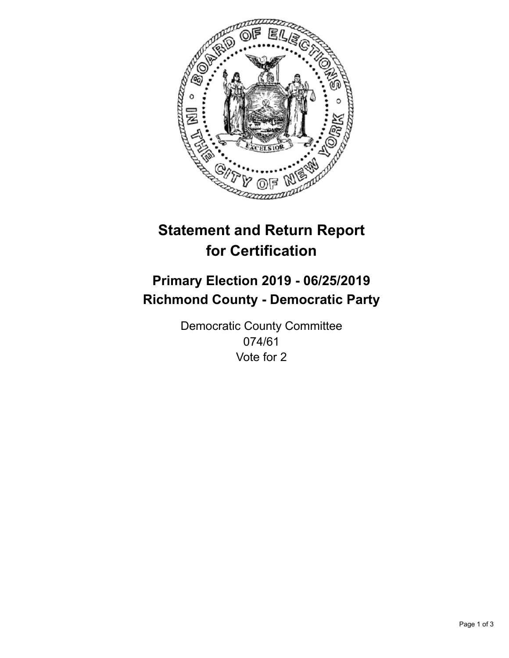

## **Statement and Return Report for Certification**

## **Primary Election 2019 - 06/25/2019 Richmond County - Democratic Party**

Democratic County Committee 074/61 Vote for 2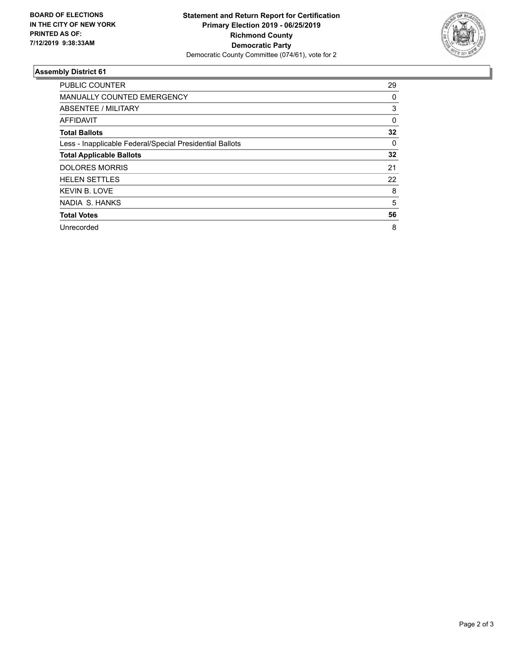

## **Assembly District 61**

| <b>PUBLIC COUNTER</b>                                    | 29       |
|----------------------------------------------------------|----------|
| <b>MANUALLY COUNTED EMERGENCY</b>                        | 0        |
| ABSENTEE / MILITARY                                      | 3        |
| AFFIDAVIT                                                | $\Omega$ |
| <b>Total Ballots</b>                                     | 32       |
| Less - Inapplicable Federal/Special Presidential Ballots | $\Omega$ |
| <b>Total Applicable Ballots</b>                          | 32       |
| <b>DOLORES MORRIS</b>                                    | 21       |
| <b>HELEN SETTLES</b>                                     | 22       |
| <b>KEVIN B. LOVE</b>                                     | 8        |
| NADIA S. HANKS                                           | 5        |
| <b>Total Votes</b>                                       | 56       |
| Unrecorded                                               | 8        |